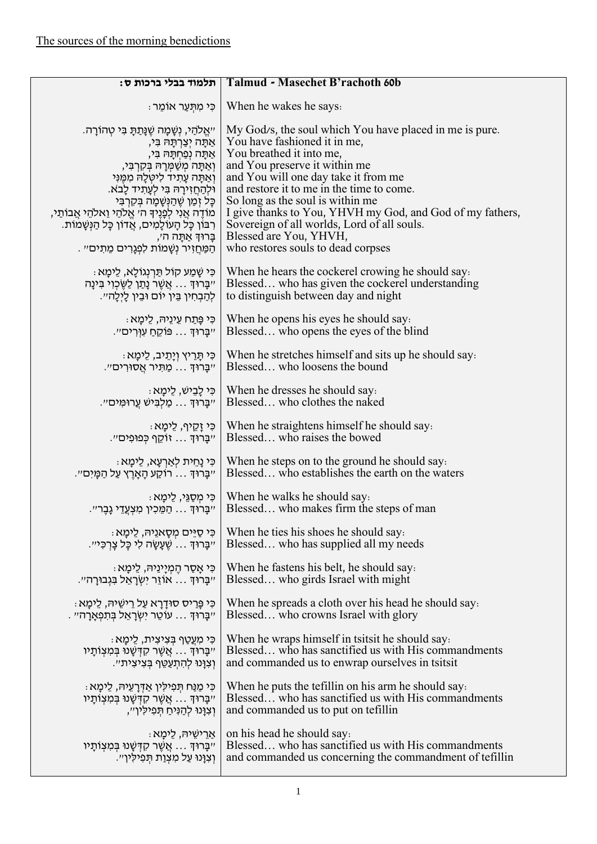| תלמוד בבלי ברכות ס:                                  | <b>Talmud - Masechet B'rachoth 60b</b>                    |
|------------------------------------------------------|-----------------------------------------------------------|
| ּכִּי מְתִּעַר אוֹמֵר                                | When he wakes he says.                                    |
| י׳אֱלֹהֵי, נְשָׁמָה שֶׁנָּתַתָּ בִּי טְהוֹרָה.       | My God/s, the soul which You have placed in me is pure.   |
| אתה יִצְרְתָּה בִּי,                                 | You have fashioned it in me,                              |
| אַתָּה נְפַחְתָּהּ בִּי,                             | You breathed it into me,                                  |
| וְאַתָּה מִשַּׁמְרָה בִּקְרְבִּי,                    | and You preserve it within me                             |
| וְאַתַּה עַתִיד לִיטָלַה מִמְּוִי                    | and You will one day take it from me                      |
| וּלְהַחַזִּירָהּ בִּי לְעָתִיד לָבֹא.                | and restore it to me in the time to come.                 |
| כָּל זְמַן שֵׁהַנְּשָׁמָה בִּקְרְבִּי                | So long as the soul is within me                          |
| מוֹדֶה אֲנִי לְפָנֶיךָ ה׳ אֱלֹהַי וֵאלֹהֵי אֲבוֹתַי, | I give thanks to You, YHVH my God, and God of my fathers, |
| ַרְבּוֹן כָּל הָעוֹלָמִים, אֲדוֹן כָּל הַנְּשָׁמוֹת. | Sovereign of all worlds, Lord of all souls.               |
| בָרוּךְ אַתָּה ה׳,                                   | Blessed are You, YHVH,                                    |
| ּהַמַּחֲזִיר נִשָּׁמוֹת לִפְגַרִים מֵתִים״ .         | who restores souls to dead corpses                        |
| ּכִּי שָׁמַע קוֹל תַּרְנְגוֹלָא, לֵימָא :            | When he hears the cockerel crowing he should say.         |
| ״ַבָּרוּדְ  אֲשֶׁר נָתַן לַשֶּׂכְוָי בְּינָה         | Blessed who has given the cockerel understanding          |
| לְהַבְחִין בֵּין יוֹם וּבֵין לַיִלַה״.               | to distinguish between day and night                      |
| ּכִּי פָּתַח עֵינֵיהּ, לֵימָא                        | When he opens his eyes he should say.                     |
| "בַּרוּהָ פּוֹקֶחַ עִוְּרִים״.                       | Blessed who opens the eyes of the blind                   |
| ּכִּי תָּרֵיץ וְיָתֵיב, לֵימָא                       | When he stretches himself and sits up he should say.      |
| "בַּרוּךְ  מַתּיר אֲסוּרִים".                        | Blessed who loosens the bound                             |
| ּכִּי לָבֵישׁ, לֵימָא                                | When he dresses he should say.                            |
| "בְרוך  מַלְבִּישׁ עֲרוּמְים".                       | Blessed who clothes the naked                             |
| ּכִּי זַקֵיף, לֵימָא                                 | When he straightens himself he should say.                |
| "בְּרוּךָ  זוֹקֵף כְּפוּפִים".                       | Blessed who raises the bowed                              |
| ּכִּי נָחֵית לְאַרְעָא, לֵימָא                       | When he steps on to the ground he should say.             |
| "בָּרוּךָ  רוֹקַע הָאָרֵץ עַל הַמָּיִם״.             | Blessed who establishes the earth on the waters           |
| ּכִּי מִסְגֵּי, לֵימַא                               | When he walks he should say.                              |
| "בַּרוּךָ  הַמֵּכִין מִצְעֲדֵי גָבֶר״.               | Blessed who makes firm the steps of man                   |
| כִּי סַיֵּים מִסָאנֵיהּ, לֵימָא                      | When he ties his shoes he should say.                     |
| "בַּרוּדָ  שֵׁעַשַּׁה לִי כַּל צַרְכָּי".            | Blessed who has supplied all my needs                     |
| כִּי אָסַר הֶמְיָינֵיהּ, לֵימַא                      | When he fastens his belt, he should say.                  |
| "בַּרוּדָ  אוֹזֵר יִשְׂרַאֵל בַּגְבוּרַה״.           | Blessed who girds Israel with might                       |
| כִּי פְּרֵיס סוּדָרָא עַל רֵישֵׁיהּ, לֵימַא:         | When he spreads a cloth over his head he should say.      |
| . יִבְרוּךְ  עוֹטֶר יְשְׂרָאֱל בְּתִפְאָרָה״         | Blessed who crowns Israel with glory                      |
| ּכִּי מְעֲטַף בִּצְיצִית, לֵימַא                     | When he wraps himself in tsitsit he should say.           |
| יִיבָּרוּךָ אֲשֶׁר קִדְּשָׁנוּ בִּמְצְוֹתָיו         | Blessed who has sanctified us with His commandments       |
| וִצְוַּנוּ לְהְתַעֲטֵף בִּצְיצְית״.                  | and commanded us to enwrap ourselves in tsitsit           |
| ּכִּי מַנַּח תִּפְילִין אַדְרָעֵיהּ, לֵימָא          | When he puts the tefillin on his arm he should say.       |
| יִיבָּרוּךְ  אֲשֶׁר קִדְּשָׁנוּ בְּמִצְוֹתָיו        | Blessed who has sanctified us with His commandments       |
| וְצְוַּנוּ לְהַנִּיחַ תִּפִילְיוְ׳׳,                 | and commanded us to put on tefillin                       |
| <u>ּא</u> רִישֵׁיהּ, לֵימָא                          | on his head he should say.                                |
| יִיבָּרוּךָ  אֲשֶׁר קִדְּשָׁנוּ בְּמִצְוֹתָיו        | Blessed who has sanctified us with His commandments       |
| וְצְוָּנוּ עַל מְצְוַת תְּפִילְיוְ׳׳.                | and commanded us concerning the commandment of tefillin   |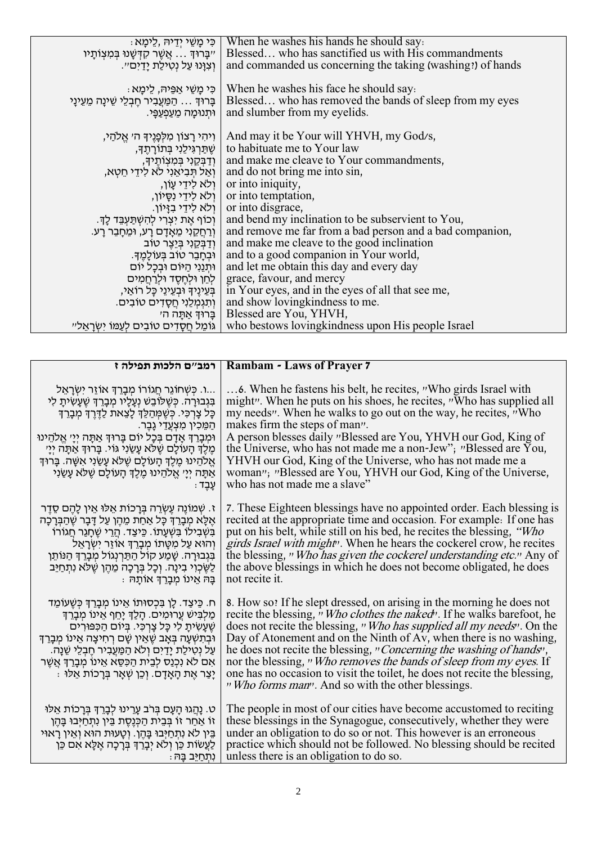| ּ כִּי מָשֵׁי יִדֵיהּ ,לֵימָא                                                     | When he washes his hands he should say.<br>Blessed who has sanctified us with His commandments         |
|-----------------------------------------------------------------------------------|--------------------------------------------------------------------------------------------------------|
| יִיבָּרוּךָ אֲשֶׁר קִדְּשָׁנוּ בְּמִצְוֹתָיו<br>וִצְוַּנוּ עַל נְטִילַת יַדַיִם״. | and commanded us concerning the taking (washing!) of hands                                             |
|                                                                                   |                                                                                                        |
| ּכִּי מָשֵׁי אַפֵּיה, לֵימַא                                                      | When he washes his face he should say.                                                                 |
| ְבָרוּךָ  הַמַּעֲבִיר חֵבְלֵי שֵׁינַה מֵעֵינַי                                    | Blessed who has removed the bands of sleep from my eyes                                                |
| ּוּתְנוּמַה מֵעַפְעַפֵּי.                                                         | and slumber from my eyelids.                                                                           |
|                                                                                   |                                                                                                        |
| וִיהִי רַצוֹן מִלְפָּנֵיךָ ה׳ אֱלֹהֵי,<br>שִׁתַּרְגִּילֵנִי בִּתוֹרְתֵךָ,         | And may it be Your will YHVH, my God/s,<br>to habituate me to Your law                                 |
|                                                                                   | and make me cleave to Your commandments,                                                               |
| וְדַבְּקֵנִי בְּמִצְוֹתֵיךָ,<br>וְאַל תְּבִיאֱנִי לֹא לִידֵי חִטְא,               | and do not bring me into sin,                                                                          |
|                                                                                   |                                                                                                        |
| ולא לידי עון,                                                                     | or into iniquity,<br>or into temptation,   וְלֹא לִידֵי נְסֵיוֹן,                                      |
| ולא לידי בזיון.                                                                   | or into disgrace,                                                                                      |
|                                                                                   | and bend my inclination to be subservient to You,                                                      |
| ּוְכוֹף אֵת יִצְרִי לְהִשְׁתַּעְבֵּד לַךָ.                                        |                                                                                                        |
| ְוַרְחֲקֵנִי מֵאָדָם רָע, וּמֵחָבֵר רָע.                                          | and remove me far from a bad person and a bad companion,<br>and make me cleave to the good inclination |
| וְדַבְּקֵנִי בְּיֵצֵר טוֹב                                                        | and to a good companion in Your world,                                                                 |
| וּבְחָבֵר טוֹב בִּעוֹלַמֵךָ.                                                      |                                                                                                        |
| ותנוי היום ובכל יום                                                               | and let me obtain this day and every day                                                               |
| לחו ולחסד ולרחמים                                                                 | grace, favour, and mercy                                                                               |
| בִּעֵינֵיךָ וּבִעֵינֵי כָּל רוֹאֵי,                                               | in Your eyes, and in the eyes of all that see me,                                                      |
| וְתִגְמְלֵנִי חֲסָדִים טוֹבִים.                                                   | and show loving kindness to me.                                                                        |
| ַבְרוּדְ אַתַּה ה׳                                                                | Blessed are You, YHVH,                                                                                 |
| גומל חסדים טובים לעמו ישראל״                                                      | who bestows loving kindness upon His people Israel                                                     |

|                                                                                                                                                                                                                                                                                                                                                                                                | Rambam - Laws of Prayer 7   רמב״ם הלכות תפילה ז                                                                                                                                                                                                                                                                                                                                                                                                                                                                                                                               |
|------------------------------------------------------------------------------------------------------------------------------------------------------------------------------------------------------------------------------------------------------------------------------------------------------------------------------------------------------------------------------------------------|-------------------------------------------------------------------------------------------------------------------------------------------------------------------------------------------------------------------------------------------------------------------------------------------------------------------------------------------------------------------------------------------------------------------------------------------------------------------------------------------------------------------------------------------------------------------------------|
| …ו. כִּשְׁחוֹגֵר חֲגוֹרוֹ מִבַרֶךְ אוֹזֶר יִשְׂרַאֵל.                                                                                                                                                                                                                                                                                                                                          |                                                                                                                                                                                                                                                                                                                                                                                                                                                                                                                                                                               |
| בִּגְבוּרַה. כִּשֶׁלוֹבֵשׁ נְעָלָיו מִבָּרֶךְ שֵׁעַשִׂיתָ לִי                                                                                                                                                                                                                                                                                                                                  | might". When he puts on his shoes, he recites, "Who has supplied all                                                                                                                                                                                                                                                                                                                                                                                                                                                                                                          |
| כָּל צָרְכִּי. כִּשְׁמְהַלֶּךְ לָצֵאת לַדֶּרֶךְ מִבָּרֶךְ                                                                                                                                                                                                                                                                                                                                      | my needs". When he walks to go out on the way, he recites, "Who                                                                                                                                                                                                                                                                                                                                                                                                                                                                                                               |
| ְהַמֵּכִין מִצְעֲדֵי גָבֵר.                                                                                                                                                                                                                                                                                                                                                                    | makes firm the steps of man".                                                                                                                                                                                                                                                                                                                                                                                                                                                                                                                                                 |
| וּמִבְרֵךְ אָדָם בְּכָל יוֹם בְּרוּךְ אַתָּה יְיָ׳ אֱלֹהֵינוּ                                                                                                                                                                                                                                                                                                                                  | A person blesses daily "Blessed are You, YHVH our God, King of                                                                                                                                                                                                                                                                                                                                                                                                                                                                                                                |
| מֵלֶךְ הַעוֹלַם שֵׁלֹא עַשַׂנִי גּוֹי. בַּרוּךְ אַתַּה יִיַּ׳                                                                                                                                                                                                                                                                                                                                  | the Universe, who has not made me a non-Jew"; "Blessed are You,                                                                                                                                                                                                                                                                                                                                                                                                                                                                                                               |
| אֱלֹהֵינוּ מֵלֵךְ הָעוֹלָם שֵׁלֹא עָשַׂנִי אִשָּׁה. בָּרוּךְ                                                                                                                                                                                                                                                                                                                                   | YHVH our God, King of the Universe, who has not made me a                                                                                                                                                                                                                                                                                                                                                                                                                                                                                                                     |
| אַתַּה יְיַי אֱלֹהֵינוּ מֶלֶךְ הָעוֹלָם שֶׁלֹּא עָשַׂנִי                                                                                                                                                                                                                                                                                                                                       | woman"; "Blessed are You, YHVH our God, King of the Universe,                                                                                                                                                                                                                                                                                                                                                                                                                                                                                                                 |
| ּעַבָד:                                                                                                                                                                                                                                                                                                                                                                                        | who has not made me a slave"                                                                                                                                                                                                                                                                                                                                                                                                                                                                                                                                                  |
| ז. שִׁמוֹנֵה עֵשְׂרֵה בְּרָכוֹת אֲלוּ אֵין לָהֶם סֳדֵר                                                                                                                                                                                                                                                                                                                                         | 7. These Eighteen blessings have no appointed order. Each blessing is                                                                                                                                                                                                                                                                                                                                                                                                                                                                                                         |
| אֵלֵא מִבַּרֵךְ כַּל אַחַת מֵהֵן עַל דַּבַר שֵׁהַבְּרַכָּה                                                                                                                                                                                                                                                                                                                                     | recited at the appropriate time and occasion. For example: If one has                                                                                                                                                                                                                                                                                                                                                                                                                                                                                                         |
| ַבְּשָׁבְילוֹ בְּשָׁעַתוֹ. כֵּיצַד. הֵרֵי שֶׁחַגַר חֲגוֹרוֹ                                                                                                                                                                                                                                                                                                                                    | put on his belt, while still on his bed, he recites the blessing, "Who                                                                                                                                                                                                                                                                                                                                                                                                                                                                                                        |
| והוא על מטתו מברד אוזר ישראל                                                                                                                                                                                                                                                                                                                                                                   | girds Israel with might". When he hears the cockerel crow, he recites                                                                                                                                                                                                                                                                                                                                                                                                                                                                                                         |
| בִּגְבוּרָה. שָׁמַע קוֹל הַתַּרְנְגוֹל מְבָרֵךְ הַנּוֹתֵן                                                                                                                                                                                                                                                                                                                                      | the blessing, "Who has given the cockerel understanding etc." Any of                                                                                                                                                                                                                                                                                                                                                                                                                                                                                                          |
| לַשֶּׂכְוִי בִינָה. וְכָל בְּרָכָה מֵהֵן שֵׁלֹּא נִתְחַיֵּב                                                                                                                                                                                                                                                                                                                                    | the above blessings in which he does not become obligated, he does                                                                                                                                                                                                                                                                                                                                                                                                                                                                                                            |
| ּבַה אֵינו מִבַרֵך אותַה                                                                                                                                                                                                                                                                                                                                                                       | not recite it.                                                                                                                                                                                                                                                                                                                                                                                                                                                                                                                                                                |
| ּח. כֵּיצַד. לֵן בִּכְסוּתוֹ אֵינוֹ מִבַּרֵךְ כִּשֵׁעוֹמֵד<br>מַלְבִּישׁ עֲרוּמִים. הַלַדְּ יַחֵף אֵינוֹ מִבַּרֶדְּ<br>שֵׁעֲשִׂיתַ לִי כַּל צַרְכִּי. בִּיוֹם הַכִּפּוּרִים<br>וּבְתָשְׁעָה בָּאָב שֶׁאֵין שָׁם רְחִיצָה אֵינוֹ מְבָרֵךְ<br>על נטילת ידים ולא המעביר חבלי שנה.<br>אִם לֹא נִכְנַס לְבֵית הַכִּסֵא אֵינוֹ מִבָּרֶךְ אֲשֶׁר<br>ַיַּצַר אֵת הַאַדַם. וְכֵן שָׁאַר בְּרַכוֹת אֵלוּ | 8. How so? If he slept dressed, on arising in the morning he does not<br>recite the blessing, "Who clothes the naked". If he walks barefoot, he<br>does not recite the blessing, "Who has supplied all my needs". On the<br>Day of Atonement and on the Ninth of Av, when there is no washing,<br>he does not recite the blessing, "Concerning the washing of hands",<br>nor the blessing, "Who removes the bands of sleep from my eyes. If<br>one has no occasion to visit the toilet, he does not recite the blessing,<br>"Who forms man". And so with the other blessings. |
| ּט. נַהֲגוּ הָעָם בְּרֹב עָרֵינוּ לִבָּרֶךְ בְּרָכוֹת אֵלּוּ                                                                                                                                                                                                                                                                                                                                   | The people in most of our cities have become accustomed to reciting                                                                                                                                                                                                                                                                                                                                                                                                                                                                                                           |
| זו אחר זו בִּבֵית הַכְּנֵסֶת בֵּין נִתְחַיִּבוּ בָּהֵן                                                                                                                                                                                                                                                                                                                                         | these blessings in the Synagogue, consecutively, whether they were                                                                                                                                                                                                                                                                                                                                                                                                                                                                                                            |
| ְבֵּין לֹא נִתְחַיְּבוּ בָּהֵן. וְטָעוּת הוּא וְאֵין רָאוּי                                                                                                                                                                                                                                                                                                                                    | under an obligation to do so or not. This however is an erroneous                                                                                                                                                                                                                                                                                                                                                                                                                                                                                                             |
| לַעֲשׂוֹת כֵּן וְלֹא יִבָרֵךְ בִּרָכָה אֵלָּא אִם כֵּן                                                                                                                                                                                                                                                                                                                                         | practice which should not be followed. No blessing should be recited                                                                                                                                                                                                                                                                                                                                                                                                                                                                                                          |
| נתחיב בּה ּ                                                                                                                                                                                                                                                                                                                                                                                    | unless there is an obligation to do so.                                                                                                                                                                                                                                                                                                                                                                                                                                                                                                                                       |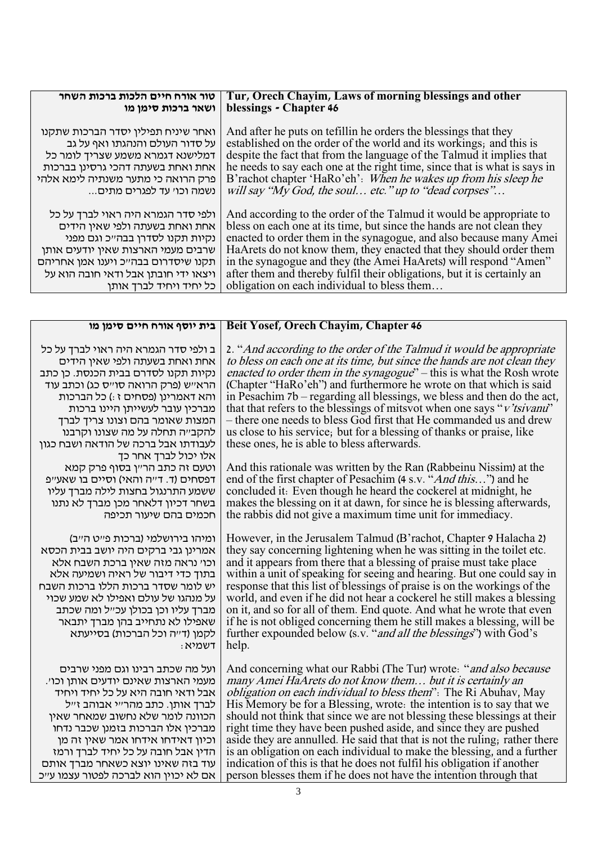| טור אורח חיים הלכות ברכות השחר       | Tur, Orech Chayim, Laws of morning blessings and other                    |
|--------------------------------------|---------------------------------------------------------------------------|
| ושאר ברכות סימן מו                   | blessings - Chapter 46                                                    |
| ואחר שיניח תפילין יסדר הברכות שתקנו  | And after he puts on tefillin he orders the blessings that they           |
| על סדור העולם והנהגתו ואף על גב      | established on the order of the world and its workings; and this is       |
| דמלישנא דגמרא משמע שצריך לומר כל     | despite the fact that from the language of the Talmud it implies that     |
| אחת ואחת בשעתה דהכי גרסינן בברכות    | he needs to say each one at the right time, since that is what is says in |
| פרק הרואה כי מתער משנתיה לימא אלהי   | B'rachot chapter 'HaRo'eh': When he wakes up from his sleep he            |
| נשמה וכו׳ עד לפגרים מתים             | will say "My God, the soul etc." up to "dead corpses"                     |
| ולפי סדר הגמרא היה ראוי לברך על כל   | And according to the order of the Talmud it would be appropriate to       |
| אחת ואחת בשעתה ולפי שאין הידים       | bless on each one at its time, but since the hands are not clean they     |
| נקיות תקנו לסדרן בבה״כ וגם מפני      | enacted to order them in the synagogue, and also because many Amei        |
| שרבים מעמי הארצות שאין יודעים אותן   | HaArets do not know them, they enacted that they should order them        |
| תקנו שיסדרום בבהייכ ויענו אמן אחריהם | in the synagogue and they (the Amei HaArets) will respond "Amen"          |
| ויצאו ידי חובתן אבל ודאי חובה הוא על | after them and thereby fulfil their obligations, but it is certainly an   |
| כל יחיד ויחיד לברך אותן              | obligation on each individual to bless them                               |

| בית יוסף אורח חיים סימן מו                                                                                                                                                                        | Beit Yosef, Orech Chayim, Chapter 46                                                                                                                                                                                                                                                                                                                      |
|---------------------------------------------------------------------------------------------------------------------------------------------------------------------------------------------------|-----------------------------------------------------------------------------------------------------------------------------------------------------------------------------------------------------------------------------------------------------------------------------------------------------------------------------------------------------------|
| ב ולפי סדר הגמרא היה ראוי לברך על כל                                                                                                                                                              | 2. "And according to the order of the Talmud it would be appropriate                                                                                                                                                                                                                                                                                      |
| אחת ואחת בשעתה ולפי שאין הידים                                                                                                                                                                    | to bless on each one at its time, but since the hands are not clean they                                                                                                                                                                                                                                                                                  |
| נקיות תקנו לסדרם בבית הכנסת. כן כתב                                                                                                                                                               | enacted to order them in the synagogue" – this is what the Rosh wrote                                                                                                                                                                                                                                                                                     |
| הראייש (פרק הרואה סוייס כג) וכתב עוד                                                                                                                                                              | (Chapter "HaRo'eh") and furthermore he wrote on that which is said                                                                                                                                                                                                                                                                                        |
| והא דאמרינן (פסחים ז :) כל הברכות                                                                                                                                                                 | in Pesachim 7b – regarding all blessings, we bless and then do the act,                                                                                                                                                                                                                                                                                   |
| מברכין עובר לעשייתן היינו ברכות                                                                                                                                                                   | that that refers to the blessings of mitsvot when one says "v'tsivanu"                                                                                                                                                                                                                                                                                    |
| המצות שאומר בהם וצונו צריך לברך                                                                                                                                                                   | – there one needs to bless God first that He commanded us and drew                                                                                                                                                                                                                                                                                        |
| להקב״ה תחלה על מה שצונו וקרבנו                                                                                                                                                                    | us close to his service; but for a blessing of thanks or praise, like                                                                                                                                                                                                                                                                                     |
| לעבודתו אבל ברכה של הודאה ושבח כגון                                                                                                                                                               | these ones, he is able to bless afterwards.                                                                                                                                                                                                                                                                                                               |
| אלו יכול לברך אחר כך<br>וטעם זה כתב הר״ן בסוף פרק קמא<br>דפסחים (ד. דייה והאי) וסיים בו שאעייפ<br>ששמע התרנגול בחצות לילה מברך עליו<br>בשחר דכיון דלאחר מכן מברך לא נתנו<br>חכמים בהם שיעור תכיפה | And this rationale was written by the Ran (Rabbeinu Nissim) at the<br>end of the first chapter of Pesachim (4 s.v. " <i>And this</i> ") and he<br>concluded it. Even though he heard the cockerel at midnight, he<br>makes the blessing on it at dawn, for since he is blessing afterwards,<br>the rabbis did not give a maximum time unit for immediacy. |
| ומיהו בירושלמי (ברכות פייט הייב)                                                                                                                                                                  | However, in the Jerusalem Talmud (B'rachot, Chapter 9 Halacha 2)                                                                                                                                                                                                                                                                                          |
| אמרינן גבי ברקים היה יושב בבית הכסא                                                                                                                                                               | they say concerning lightening when he was sitting in the toilet etc.                                                                                                                                                                                                                                                                                     |
| וכוי נראה מזה שאין ברכת השבח אלא                                                                                                                                                                  | and it appears from there that a blessing of praise must take place                                                                                                                                                                                                                                                                                       |
| בתוך כדי דיבור של ראיה ושמיעה אלא                                                                                                                                                                 | within a unit of speaking for seeing and hearing. But one could say in                                                                                                                                                                                                                                                                                    |
| יש לומר שסדר ברכות הללו ברכות השבח                                                                                                                                                                | response that this list of blessings of praise is on the workings of the                                                                                                                                                                                                                                                                                  |
| על מנהגו של עולם ואפילו לא שמע שכוי                                                                                                                                                               | world, and even if he did not hear a cockerel he still makes a blessing                                                                                                                                                                                                                                                                                   |
| מברך עליו וכן בכולן עכ״ל ומה שכתב                                                                                                                                                                 | on it, and so for all of them. End quote. And what he wrote that even                                                                                                                                                                                                                                                                                     |
| שאפילו לא נתחייב בהן מברך יתבאר                                                                                                                                                                   | if he is not obliged concerning them he still makes a blessing, will be                                                                                                                                                                                                                                                                                   |
| לקמן (ד״ה וכל הברכות) בסייעתא                                                                                                                                                                     | further expounded below (s.v. "and all the blessings") with God's                                                                                                                                                                                                                                                                                         |
| : דשמיא                                                                                                                                                                                           | help.                                                                                                                                                                                                                                                                                                                                                     |
| ועל מה שכתב רבינו וגם מפני שרבים                                                                                                                                                                  | And concerning what our Rabbi (The Tur) wrote: "and also because                                                                                                                                                                                                                                                                                          |
| מעמי הארצות שאינם יודעים אותן וכו׳.                                                                                                                                                               | many Amei HaArets do not know them but it is certainly an                                                                                                                                                                                                                                                                                                 |
| אבל ודאי חובה היא על כל יחיד ויחיד                                                                                                                                                                | <i>obligation on each individual to bless them</i> ": The Ri Abuhav, May                                                                                                                                                                                                                                                                                  |
| לברך אותן. כתב מהר״י אבוהב ז״ל                                                                                                                                                                    | His Memory be for a Blessing, wrote: the intention is to say that we                                                                                                                                                                                                                                                                                      |
| הכוונה לומר שלא נחשוב שמאחר שאין                                                                                                                                                                  | should not think that since we are not blessing these blessings at their                                                                                                                                                                                                                                                                                  |
| מברכין אלו הברכות בזמנן שכבר נדחו                                                                                                                                                                 | right time they have been pushed aside, and since they are pushed                                                                                                                                                                                                                                                                                         |
| וכיון דאידחו אידחו אמר שאין זה מן                                                                                                                                                                 | aside they are annulled. He said that that is not the ruling; rather there                                                                                                                                                                                                                                                                                |
| הדין אבל חובה על כל יחיד לברך ורמז                                                                                                                                                                | is an obligation on each individual to make the blessing, and a further                                                                                                                                                                                                                                                                                   |
| עוד בזה שאינו יוצא כשאחר מברך אותם                                                                                                                                                                | indication of this is that he does not fulfil his obligation if another                                                                                                                                                                                                                                                                                   |
| אם לא יכוין הוא לברכה לפטור עצמו ע״כ                                                                                                                                                              | person blesses them if he does not have the intention through that                                                                                                                                                                                                                                                                                        |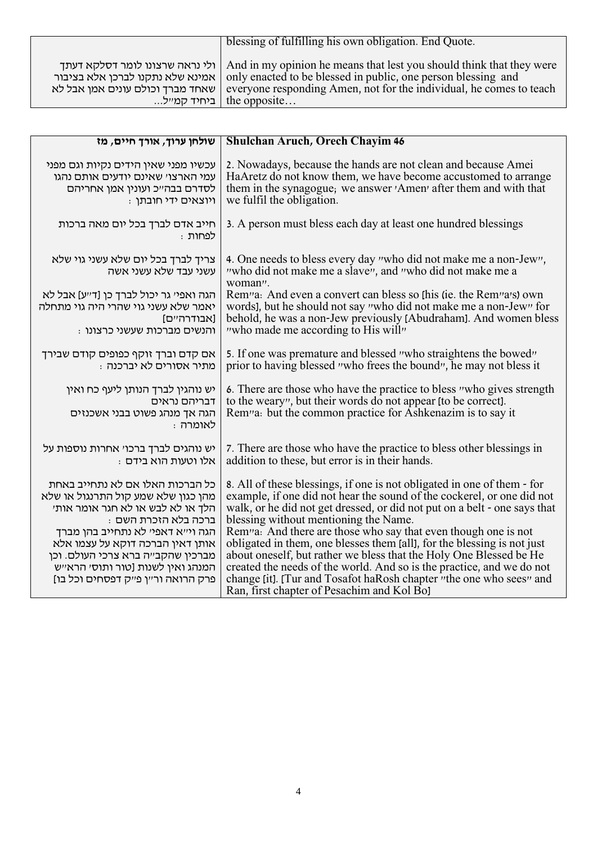|                                    | blessing of fulfilling his own obligation. End Quote.                                                                                                                                                                                                                                           |
|------------------------------------|-------------------------------------------------------------------------------------------------------------------------------------------------------------------------------------------------------------------------------------------------------------------------------------------------|
| , שאחד מברך וכולם עונים אמן אבל לא | ולי נראה שרצונו לומר דסלקא דעתך And in my opinion he means that lest you should think that they were<br>אמינא שלא נתקנו לברכן אלא בציבור   only enacted to be blessed in public, one person blessing and<br>everyone responding Amen, not for the individual, he comes to teach<br>the opposite |

| שולחן ערוך, אורך חיים, מז                                                                                                                                                                                                                                                                                                     | <b>Shulchan Aruch, Orech Chayim 46</b>                                                                                                                                                                                                                                                                                                                                                                                                                                                                                                                                                                                                                                                                |
|-------------------------------------------------------------------------------------------------------------------------------------------------------------------------------------------------------------------------------------------------------------------------------------------------------------------------------|-------------------------------------------------------------------------------------------------------------------------------------------------------------------------------------------------------------------------------------------------------------------------------------------------------------------------------------------------------------------------------------------------------------------------------------------------------------------------------------------------------------------------------------------------------------------------------------------------------------------------------------------------------------------------------------------------------|
| עכשיו מפני שאין הידים נקיות וגם מפני<br>עמי הארצו׳ שאינם יודעים אותם נהגו<br>לסדרם בבהייכ ועונין אמן אחריהם<br>: ויוצאים ידי חובתן                                                                                                                                                                                            | 2. Nowadays, because the hands are not clean and because Amei<br>HaAretz do not know them, we have become accustomed to arrange<br>them in the synagogue, we answer 'Amen' after them and with that<br>we fulfil the obligation.                                                                                                                                                                                                                                                                                                                                                                                                                                                                      |
| חייב אדם לברך בכל יום מאה ברכות<br>לפחות :                                                                                                                                                                                                                                                                                    | 3. A person must bless each day at least one hundred blessings                                                                                                                                                                                                                                                                                                                                                                                                                                                                                                                                                                                                                                        |
| צריך לברך בכל יום שלא עשני גוי שלא<br>עשני עבד שלא עשני אשה                                                                                                                                                                                                                                                                   | 4. One needs to bless every day "who did not make me a non-Jew",<br>"who did not make me a slave", and "who did not make me a<br>woman".                                                                                                                                                                                                                                                                                                                                                                                                                                                                                                                                                              |
| הגה ואפיי גר יכול לברך כן [דייע] אבל לא<br>יאמר שלא עשני גוי שהרי היה גוי מתחלה<br>[אבודרהיים]<br>: והנשים מברכות שעשני כרצונו                                                                                                                                                                                                | Rem <sup>1</sup> a: And even a convert can bless so this (ie. the Rem <sup>1</sup> a's) own<br>words], but he should not say "who did not make me a non-Jew" for<br>behold, he was a non-Jew previously [Abudraham]. And women bless<br>"who made me according to His will"                                                                                                                                                                                                                                                                                                                                                                                                                           |
| אם קדם וברך זוקף כפופים קודם שבירך<br>מתיר אסורים לא יברכנה:                                                                                                                                                                                                                                                                  | 5. If one was premature and blessed "who straightens the bowed"<br>prior to having blessed "who frees the bound", he may not bless it                                                                                                                                                                                                                                                                                                                                                                                                                                                                                                                                                                 |
| יש נוהגין לברך הנותן ליעף כח ואין<br>דבריהם נראים<br>הגה אך מנהג פשוט בבני אשכנזים<br>לאומרה:                                                                                                                                                                                                                                 | 6. There are those who have the practice to bless "who gives strength<br>to the weary", but their words do not appear (to be correct).<br>Rem <sup>1</sup> a: but the common practice for Ashkenazim is to say it                                                                                                                                                                                                                                                                                                                                                                                                                                                                                     |
| יש נוהגים לברך ברכוי אחרות נוספות על<br>. אלו וטעות הוא בידם                                                                                                                                                                                                                                                                  | 7. There are those who have the practice to bless other blessings in<br>addition to these, but error is in their hands.                                                                                                                                                                                                                                                                                                                                                                                                                                                                                                                                                                               |
| כל הברכות האלו אם לא נתחייב באחת<br>מהן כגון שלא שמע קול התרנגול או שלא<br>הלך או לא לבש או לא חגר אומר אות׳<br>: ברכה בלא הזכרת השם<br>הגה וי״א דאפי׳ לא נתחייב בהן מברך<br>אותן דאין הברכה דוקא על עצמו אלא<br>מברכין שהקב״ה ברא צרכי העולם. וכן<br>המנהג ואין לשנות [טור ותוסי הראייש<br>פרק הרואה ור״ן פ״ק דפסחים וכל בו] | 8. All of these blessings, if one is not obligated in one of them - for<br>example, if one did not hear the sound of the cockerel, or one did not<br>walk, or he did not get dressed, or did not put on a belt - one says that<br>blessing without mentioning the Name.<br>Rem <sup>1</sup> a: And there are those who say that even though one is not<br>obligated in them, one blesses them [all], for the blessing is not just<br>about oneself, but rather we bless that the Holy One Blessed be He<br>created the needs of the world. And so is the practice, and we do not<br>change [it]. [Tur and Tosafot haRosh chapter "the one who sees" and<br>Ran, first chapter of Pesachim and Kol Bol |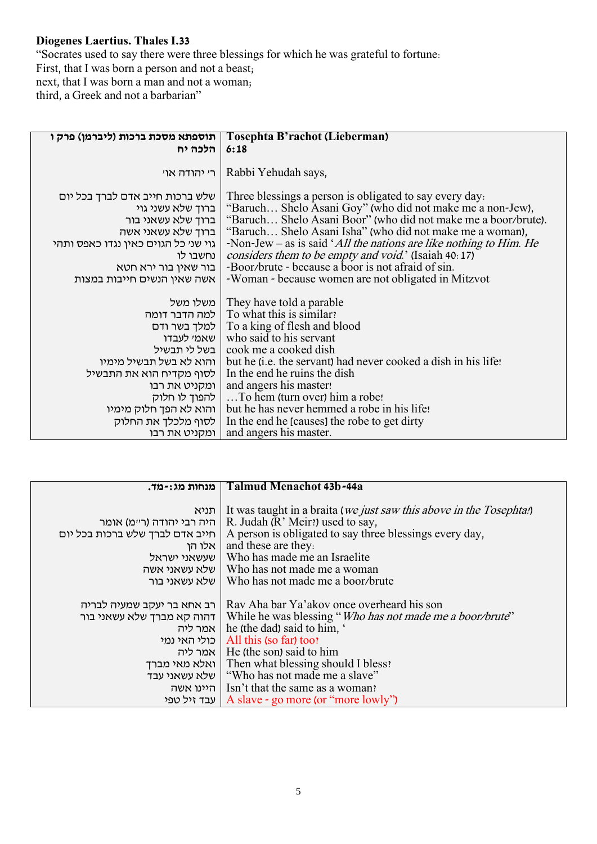## **Diogenes Laertius. Thales I.33**

"Socrates used to say there were three blessings for which he was grateful to fortune: First, that I was born a person and not a beast; next, that I was born a man and not a woman; third, a Greek and not a barbarian"

| תוספתא מסכת ברכות (ליברמן) פרק ו                     | Tosephta B'rachot (Lieberman)                                                                                        |
|------------------------------------------------------|----------------------------------------------------------------------------------------------------------------------|
| הלכה יח                                              | 6:18                                                                                                                 |
| רי יהודה אוי                                         | Rabbi Yehudah says,                                                                                                  |
| שלש ברכות חייב אדם לברך בכל יום<br>ברוך שלא עשני גוי | Three blessings a person is obligated to say every day.<br>"Baruch Shelo Asani Goy" (who did not make me a non-Jew), |
| ברוך שלא עשאני בור                                   | "Baruch Shelo Asani Boor" (who did not make me a boor/brute).                                                        |
| ברוך שלא עשאני אשה                                   | "Baruch Shelo Asani Isha" (who did not make me a woman),                                                             |
| גוי שני כל הגוים כאין נגדו כאפס ותהי                 | -Non-Jew – as is said 'All the nations are like nothing to Him. He                                                   |
| נחשבו לו                                             | considers them to be empty and void.' (Isaiah 40: 17)                                                                |
| בור שאין בור ירא חטא                                 | -Boor/brute - because a boor is not afraid of sin.                                                                   |
| אשה שאין הנשים חייבות במצות                          | -Woman - because women are not obligated in Mitzvot                                                                  |
| משלו משל                                             | They have told a parable                                                                                             |
|                                                      | למה הדבר דומה   To what this is similar?                                                                             |
|                                                      | To a king of flesh and blood   למלך בשר ודם                                                                          |
| שאמי לעבדו                                           | who said to his servant                                                                                              |
| בשל לי תבשיל                                         | cook me a cooked dish                                                                                                |
| והוא לא בשל תבשיל מימיו                              | but he (i.e. the servant) had never cooked a dish in his life!                                                       |
| לסוף מקדיח הוא את התבשיל                             | In the end he ruins the dish                                                                                         |
| ומקניט את רבו                                        | and angers his master!                                                                                               |
| להפוך לו חלוק                                        | To hem (turn over) him a robe!                                                                                       |
| והוא לא הפך חלוק מימיו                               | but he has never hemmed a robe in his life!                                                                          |
| לסוף מלכלך את החלוק                                  | In the end he [causes] the robe to get dirty                                                                         |
| ומקניט את רבו                                        | and angers his master.                                                                                               |

| מנחות מג:-מד.                   | Talmud Menachot 43b-44a                                                      |
|---------------------------------|------------------------------------------------------------------------------|
|                                 |                                                                              |
| תניא                            | It was taught in a braita ( <i>we just saw this above in the Tosephta!</i> ) |
| היה רבי יהודה (ר״מ) אומר        | R. Judah (R' Meir!) used to say,                                             |
| חייב אדם לברך שלש ברכות בכל יום | A person is obligated to say three blessings every day,                      |
| אלו הן                          | and these are they.                                                          |
| שעשאני ישראל                    | Who has made me an Israelite                                                 |
|                                 | שלא עשאני אשה   Who has not made me a woman                                  |
| שלא עשאני בור                   | Who has not made me a boor/brute                                             |
|                                 |                                                                              |
| רב אחא בר יעקב שמעיה לבריה      | Ray Aha bar Ya'akov once overheard his son                                   |
| דהוה קא מברך שלא עשאני בור      | While he was blessing "Who has not made me a boor/brute"                     |
| ∣ אמר ליה                       | he (the dad) said to him,                                                    |
| בולי האי נמי                    | All this (so far) too?                                                       |
|                                 | אמר ליה   He (the son) said to him                                           |
| ואלא מאי מברך                   | Then what blessing should I bless?                                           |
|                                 | שלא עשאני עבד   "Who has not made me a slave"                                |
|                                 | היינו אשה   Isn't that the same as a woman?                                  |
|                                 | עבד זיל טפי   A slave - go more (or "more lowly")                            |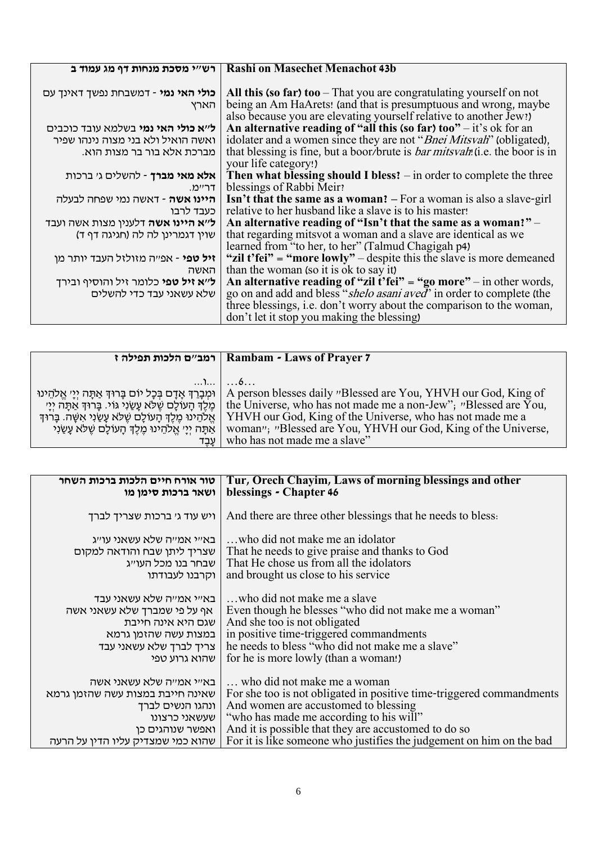| רש״י מסכת מנחות דף מג עמוד ב                       | <b>Rashi on Masechet Menachot 43b</b>                                                                                                                                                                         |
|----------------------------------------------------|---------------------------------------------------------------------------------------------------------------------------------------------------------------------------------------------------------------|
| <b>כולי האי נמי</b> - דמשבחת נפשך דאינך עם<br>הארץ | All this (so far) too $-$ That you are congratulating yourself on not<br>being an Am HaArets! (and that is presumptuous and wrong, maybe<br>also because you are elevating yourself relative to another Jew!) |
| ל׳׳א כולי האי נמי בשלמא עובד כוכבים                | An alternative reading of "all this (so far) too" $-$ it's ok for an                                                                                                                                          |
| ואשה הואיל ולא בני מצוה נינהו שפיר                 | idolater and a women since they are not "Bnei Mitsvah" (obligated),                                                                                                                                           |
| מברכת אלא בור בר מצות הוא.                         | that blessing is fine, but a boor/brute is <i>bar mitsvah</i> ! (i.e. the boor is in<br>your life category!)                                                                                                  |
| אלא מאי מברך - להשלים ג׳ ברכות                     | Then what blessing should I bless? $-$ in order to complete the three                                                                                                                                         |
| דריימ.                                             | blessings of Rabbi Meir?                                                                                                                                                                                      |
| <b>היינו אשה</b> - דאשה נמי שפחה לבעלה             | Isn't that the same as a woman? - For a woman is also a slave-girl                                                                                                                                            |
| כעבד לרבו                                          | relative to her husband like a slave is to his master!                                                                                                                                                        |
| <b>ל׳׳א היינו אשה</b> דלענין מצות אשה ועבד         | An alternative reading of "Isn't that the same as a woman!" -                                                                                                                                                 |
| שוין דגמרינן לה לה (חגיגה דף ד)                    | that regarding mits vot a woman and a slave are identical as we                                                                                                                                               |
|                                                    | learned from "to her, to her" (Talmud Chagigah p4)                                                                                                                                                            |
| <b>זיל טפי</b> - אפ״ה מזולזל העבד יותר מן          | "zil t'fei" = "more lowly" – despite this the slave is more demeaned                                                                                                                                          |
| האשה                                               | than the woman (so it is ok to say it)                                                                                                                                                                        |
| ל״א זיל טפי כלומר זיל והוסיף ובירך                 | An alternative reading of "zil t'fei" = "go more" – in other words,                                                                                                                                           |
| שלא עשאני עבד כדי להשלים                           | go on and add and bless "shelo asani aved" in order to complete (the                                                                                                                                          |
|                                                    | three blessings, i.e. don't worry about the comparison to the woman,                                                                                                                                          |
|                                                    | don't let it stop you making the blessing)                                                                                                                                                                    |

|                                                                                                                                                                                                 | Rambam - Laws of Prayer 7   רמב״ם הלכות תפילה ז                                                                                                                                                                        |
|-------------------------------------------------------------------------------------------------------------------------------------------------------------------------------------------------|------------------------------------------------------------------------------------------------------------------------------------------------------------------------------------------------------------------------|
| וּמִבָרֶךְ אָדָם בְּכָל יוֹם בָּרוּךְ אַתָּה יִיַ׳ אֱלֹהֵינוּ<br>ְמֵלֶךְ הָעוֹלָם שֶׁלֹּא עָשַׂנִי גּוֹי. בָּרוּךְ אַתָּה יִיַי<br>אֱלֹהֵינוּ מֵלֵךְ הָעוֹלָם שֵׁלֹא עַשַׂנְי אִשָּׁה. בָּרוּדְ | $\dots$ )   6<br>A person blesses daily "Blessed are You, YHVH our God, King of<br>the Universe, who has not made me a non-Jew"; "Blessed are You,<br><b>YHVH</b> our God, King of the Universe, who has not made me a |
| אַתַּה יִיַי אֱלֹהֵינוּ מֶלֶךְ הַעוֹלַם שֶׁלֹּא עַשֲׂנִי<br>עבד                                                                                                                                 | woman"; "Blessed are You, YHVH our God, King of the Universe,<br>who has not made me a slave"                                                                                                                          |

| טור אורח חיים הלכות ברכות השחר    | Tur, Orech Chayim, Laws of morning blessings and other               |
|-----------------------------------|----------------------------------------------------------------------|
| ושאר ברכות סימן מו                | blessings - Chapter 46                                               |
|                                   |                                                                      |
| ויש עוד ג' ברכות שצריך לברך       | And there are three other blessings that he needs to bless.          |
|                                   |                                                                      |
| באייי אמייה שלא עשאני עוייג       | who did not make me an idolator.                                     |
| שצריך ליתן שבח והודאה למקום       | That he needs to give praise and thanks to God                       |
| שבחר בנו מכל העו״ג                | That He chose us from all the idolators                              |
| וקרבנו לעבודתו                    | and brought us close to his service                                  |
|                                   |                                                                      |
| באייי אמייה שלא עשאני עבד         | who did not make me a slave                                          |
| אף על פי שמברך שלא עשאני אשה      | Even though he blesses "who did not make me a woman"                 |
| שגם היא אינה חייבת                | And she too is not obligated                                         |
| במצות עשה שהזמן גרמא              | in positive time-triggered commandments                              |
| צריך לברך שלא עשאני עבד           | he needs to bless "who did not make me a slave"                      |
| שהוא גרוע טפי                     | for he is more lowly (than a woman!)                                 |
|                                   |                                                                      |
| באייי אמייה שלא עשאני אשה         | who did not make me a woman                                          |
| שאינה חייבת במצות עשה שהזמן גרמא  | For she too is not obligated in positive time-triggered commandments |
| ונהגו הנשים לברך                  | And women are accustomed to blessing                                 |
| שעשאני כרצונו                     | "who has made me according to his will"                              |
| ואפשר שנוהגים כן                  | And it is possible that they are accustomed to do so                 |
| שהוא כמי שמצדיק עליו הדין על הרעה | For it is like someone who justifies the judgement on him on the bad |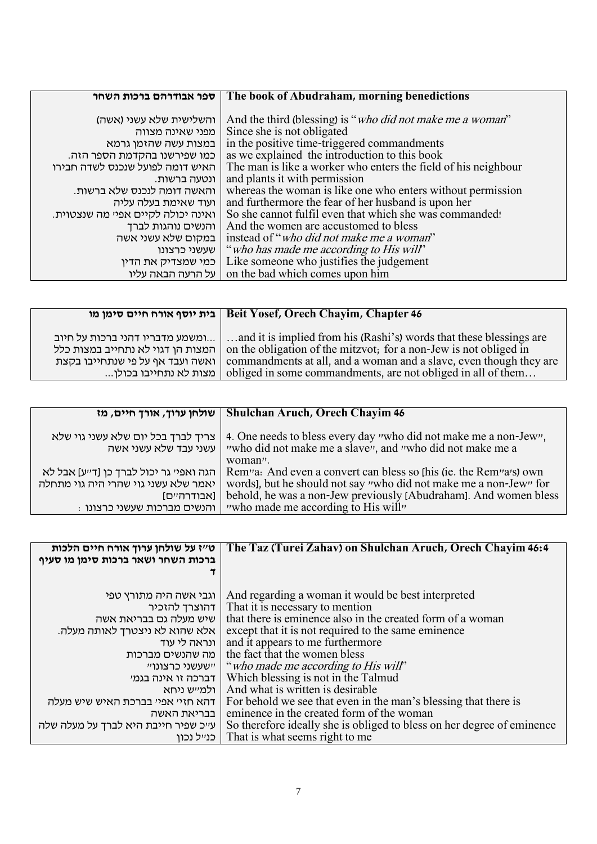| ספר אבודרהם ברכות השחר             | The book of Abudraham, morning benedictions                        |
|------------------------------------|--------------------------------------------------------------------|
|                                    |                                                                    |
| והשלישית שלא עשני (אשה)            | And the third (blessing) is " <i>who did not make me a woman</i> " |
| מפני שאינה מצווה                   | Since she is not obligated                                         |
| במצות עשה שהזמן גרמא               | in the positive time-triggered commandments                        |
| כמו שפירשנו בהקדמת הספר הזה.       | as we explained the introduction to this book                      |
| האיש דומה לפועל שנכנס לשדה חבירו   | The man is like a worker who enters the field of his neighbour     |
| ונטעה ברשות.                       | and plants it with permission                                      |
| והאשה דומה לנכנס שלא ברשות.        | whereas the woman is like one who enters without permission        |
| ועוד שאימת בעלה עליה               | and furthermore the fear of her husband is upon her                |
| ואינה יכולה לקיים אפי׳ מה שנצטוית. | So she cannot fulfil even that which she was commanded!            |
| והנשים נוהגות לברך                 | And the women are accustomed to bless                              |
| במקום שלא עשני אשה                 | instead of " <i>who did not make me a woman</i> "                  |
| שעשני כרצונו                       | "who has made me according to His will"                            |
| כמי שמצדיק את הדין                 | Like someone who justifies the judgement                           |
| על הרעה הבאה עליו                  | on the bad which comes upon him                                    |

|                                   | בית יוסף אורח חיים סימן מו Beit Yosef, Orech Chayim, Chapter 46     |
|-----------------------------------|---------------------------------------------------------------------|
| ומשמע מדבריו דהני ברכות על חיוב   | and it is implied from his (Rashi's) words that these blessings are |
| המצות הן דגוי לא נתחייב במצות כלל | on the obligation of the mitzvot; for a non-Jew is not obliged in   |
| ואשה ועבד אף על פי שנתחייבו בקצת  | commandments at all, and a woman and a slave, even though they are  |
| . מצות לא נתחייבו בכולן           | obliged in some commandments, are not obliged in all of them        |

|                                                                                                                                | Shulchan Aruch, Orech Chayim 46   שולחן ערוך, אורך חיים, מז                                                                                                                                                                                                                              |
|--------------------------------------------------------------------------------------------------------------------------------|------------------------------------------------------------------------------------------------------------------------------------------------------------------------------------------------------------------------------------------------------------------------------------------|
| צריך לברך בכל יום שלא עשני גוי שלא<br>עשני עבד שלא עשני אשה                                                                    | 4. One needs to bless every day "who did not make me a non-Jew",<br>"who did not make me a slave", and "who did not make me a<br>woman".                                                                                                                                                 |
| הגה ואפי׳ גר יכול לברך כן [ד׳׳ע] אבל לא<br>יאמר שלא עשני גוי שהרי היה גוי מתחלה<br>[אבודרהיים]<br>: והנשים מברכות שעשני כרצונו | Rem <sup>1</sup> a: And even a convert can bless so [his (ie. the Rem <sup>1</sup> a <sup>1</sup> s) own<br>words], but he should not say "who did not make me a non-Jew" for<br>behold, he was a non-Jew previously [Abudraham]. And women bless<br>"who made me according to His will" |

| ט״ז על שולחן ערוך אורח חיים הלכות<br>ברכות השחר ושאר ברכות סימן מו סעיף | The Taz (Turei Zahav) on Shulchan Aruch, Orech Chayim 46:4             |
|-------------------------------------------------------------------------|------------------------------------------------------------------------|
|                                                                         |                                                                        |
| וגבי אשה היה מתורץ טפי                                                  | And regarding a woman it would be best interpreted                     |
| דהוצרך להזכיר                                                           | That it is necessary to mention                                        |
| שיש מעלה גם בבריאת אשה                                                  | that there is eminence also in the created form of a woman             |
| אלא שהוא לא ניצטרך לאותה מעלה.                                          | except that it is not required to the same eminence                    |
| ונראה לי עוד                                                            | and it appears to me furthermore                                       |
| מה שהנשים מברכות                                                        | the fact that the women bless                                          |
|                                                                         | יישעשני כרצונויי ("who made me according to His will"                  |
| דברכה זו אינה בגמי                                                      | Which blessing is not in the Talmud                                    |
| ולמייש ניחא                                                             | And what is written is desirable                                       |
| דהא חזיי אפיי בברכת האיש שיש מעלה                                       | For behold we see that even in the man's blessing that there is        |
| בבריאת האשה                                                             | eminence in the created form of the woman                              |
| ע״כ שפיר חייבת היא לברך על מעלה שלה                                     | So therefore ideally she is obliged to bless on her degree of eminence |
| כנייל נכון                                                              | That is what seems right to me                                         |